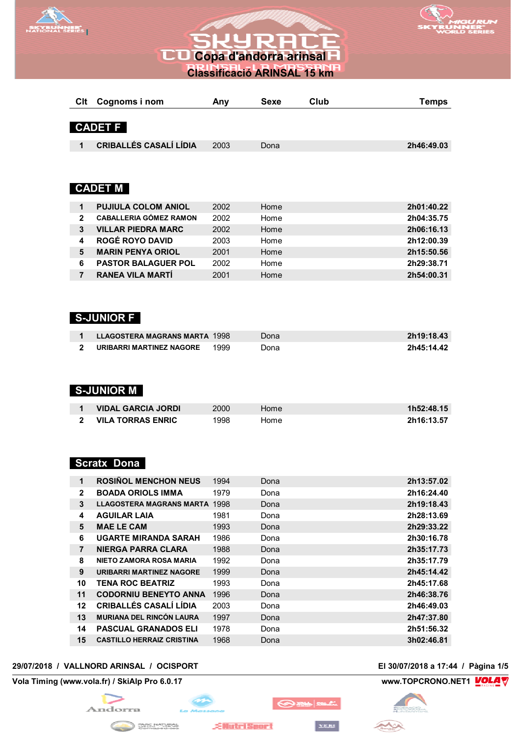

# **CO Copa d'andorra arinsal**<br> **CO Copa d'andorra arinsal**<br> **CO**



**Classificació ARINSAL 15 km**

| Clt           | Cognoms i nom                 | Any  | <b>Sexe</b> | Club | <b>Temps</b> |
|---------------|-------------------------------|------|-------------|------|--------------|
|               |                               |      |             |      |              |
|               | <b>CADET F</b>                |      |             |      |              |
| 1             | <b>CRIBALLÉS CASALÍ LÍDIA</b> | 2003 | Dona        |      | 2h46:49.03   |
|               |                               |      |             |      |              |
|               |                               |      |             |      |              |
|               | <b>CADET M</b>                |      |             |      |              |
| 1             | <b>PUJIULA COLOM ANIOL</b>    | 2002 | Home        |      | 2h01:40.22   |
| $\mathcal{P}$ | <b>CABALLERIA GÓMEZ RAMON</b> | 2002 | Home        |      | 2h04:35.75   |
| 3             | <b>VILLAR PIEDRA MARC</b>     | 2002 | Home        |      | 2h06:16.13   |
| 4             | <b>ROGÉ ROYO DAVID</b>        | 2003 | Home        |      | 2h12:00.39   |
| 5             | <b>MARIN PENYA ORIOL</b>      | 2001 | Home        |      | 2h15:50.56   |
| 6             | <b>PASTOR BALAGUER POL</b>    | 2002 | Home        |      | 2h29:38.71   |

#### **S-JUNIOR F**

| <b>LLAGOSTERA MAGRANS MARTA 1998</b> |      | Dona: | 2h19:18.43 |
|--------------------------------------|------|-------|------------|
| URIBARRI MARTINEZ NAGORE             | 1999 | ⊃ona  | 2h45:14.42 |

**RANEA VILA MARTÍ** 2001 Home **2h54:00.31**

#### **S-JUNIOR M**

| <b>VIDAL GARCIA JORDI</b> | 2000 | Home | 1h52:48.15 |
|---------------------------|------|------|------------|
| <b>VILA TORRAS ENRIC</b>  | 1998 | Home | 2h16:13.57 |

#### **Scratx Dona**

| 1              | <b>ROSINOL MENCHON NEUS</b>          | 1994 | Dona | 2h13:57.02 |
|----------------|--------------------------------------|------|------|------------|
| $\overline{2}$ | <b>BOADA ORIOLS IMMA</b>             | 1979 | Dona | 2h16:24.40 |
| 3              | <b>LLAGOSTERA MAGRANS MARTA 1998</b> |      | Dona | 2h19:18.43 |
| 4              | <b>AGUILAR LAIA</b>                  | 1981 | Dona | 2h28:13.69 |
| 5              | <b>MAE LE CAM</b>                    | 1993 | Dona | 2h29:33.22 |
| 6              | <b>UGARTE MIRANDA SARAH</b>          | 1986 | Dona | 2h30:16.78 |
| $\overline{7}$ | <b>NIERGA PARRA CLARA</b>            | 1988 | Dona | 2h35:17.73 |
| 8              | NIETO ZAMORA ROSA MARIA              | 1992 | Dona | 2h35:17.79 |
| 9              | URIBARRI MARTINEZ NAGORE             | 1999 | Dona | 2h45:14.42 |
| 10             | <b>TENA ROC BEATRIZ</b>              | 1993 | Dona | 2h45:17.68 |
| 11             | <b>CODORNIU BENEYTO ANNA</b>         | 1996 | Dona | 2h46:38.76 |
| $12 \,$        | <b>CRIBALLÉS CASALÍ LÍDIA</b>        | 2003 | Dona | 2h46:49.03 |
| 13             | <b>MURIANA DEL RINCÓN LAURA</b>      | 1997 | Dona | 2h47:37.80 |
| 14             | <b>PASCUAL GRANADOS ELI</b>          | 1978 | Dona | 2h51:56.32 |
| 15             | <b>CASTILLO HERRAIZ CRISTINA</b>     | 1968 | Dona | 3h02:46.81 |

#### **29/07/2018 / VALLNORD ARINSAL / OCISPORT El 30/07/2018 a 17:44 / Pàgina 1/5**

**Vola Timing (www.vola.fr) / SkiAlp Pro 6.0.17 www.TOPCRONO.NET1 WOLA** 



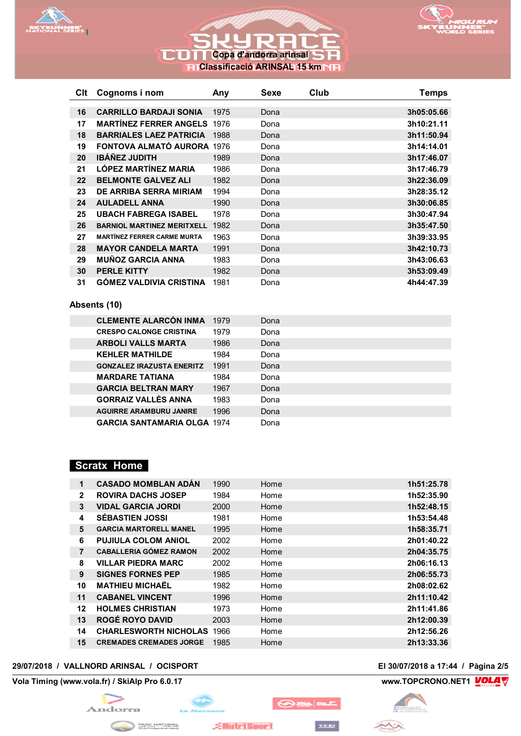

## **CO Copa d'andorra arinsal** n **Classificació ARINSAL 15 km**



| Clt | Cognoms i nom                      | Any  | Sexe | Club | <b>Temps</b> |
|-----|------------------------------------|------|------|------|--------------|
|     |                                    |      |      |      |              |
| 16  | <b>CARRILLO BARDAJI SONIA</b>      | 1975 | Dona |      | 3h05:05.66   |
| 17  | <b>MARTÍNEZ FERRER ANGELS 1976</b> |      | Dona |      | 3h10:21.11   |
| 18  | <b>BARRIALES LAEZ PATRICIA</b>     | 1988 | Dona |      | 3h11:50.94   |
| 19  | <b>FONTOVA ALMATÓ AURORA 1976</b>  |      | Dona |      | 3h14:14.01   |
| 20  | <b>IBÁÑEZ JUDITH</b>               | 1989 | Dona |      | 3h17:46.07   |
| 21  | <b>LÓPEZ MARTÍNEZ MARIA</b>        | 1986 | Dona |      | 3h17:46.79   |
| 22  | <b>BELMONTE GALVEZ ALI</b>         | 1982 | Dona |      | 3h22:36.09   |
| 23  | DE ARRIBA SERRA MIRIAM             | 1994 | Dona |      | 3h28:35.12   |
| 24  | <b>AULADELL ANNA</b>               | 1990 | Dona |      | 3h30:06.85   |
| 25  | <b>UBACH FABREGA ISABEL</b>        | 1978 | Dona |      | 3h30:47.94   |
| 26  | <b>BARNIOL MARTINEZ MERITXELL</b>  | 1982 | Dona |      | 3h35:47.50   |
| 27  | <b>MARTÍNEZ FERRER CARME MURTA</b> | 1963 | Dona |      | 3h39:33.95   |
| 28  | <b>MAYOR CANDELA MARTA</b>         | 1991 | Dona |      | 3h42:10.73   |
| 29  | <b>MUÑOZ GARCIA ANNA</b>           | 1983 | Dona |      | 3h43:06.63   |
| 30  | <b>PERLE KITTY</b>                 | 1982 | Dona |      | 3h53:09.49   |
| 31  | <b>GÓMEZ VALDIVIA CRISTINA</b>     | 1981 | Dona |      | 4h44:47.39   |

#### **Absents (10)**

| <b>CLEMENTE ALARCÓN INMA</b>       | 1979 | Dona |
|------------------------------------|------|------|
| <b>CRESPO CALONGE CRISTINA</b>     | 1979 | Dona |
| <b>ARBOLI VALLS MARTA</b>          | 1986 | Dona |
| <b>KEHLER MATHILDE</b>             | 1984 | Dona |
| <b>GONZALEZ IRAZUSTA ENERITZ</b>   | 1991 | Dona |
| <b>MARDARE TATIANA</b>             | 1984 | Dona |
| <b>GARCIA BELTRAN MARY</b>         | 1967 | Dona |
| <b>GORRAIZ VALLES ANNA</b>         | 1983 | Dona |
| <b>AGUIRRE ARAMBURU JANIRE</b>     | 1996 | Dona |
| <b>GARCIA SANTAMARIA OLGA 1974</b> |      | Dona |

#### **Scratx Home**

| 1              | <b>CASADO MOMBLAN ADÁN</b>     | 1990 | Home | 1h51:25.78 |
|----------------|--------------------------------|------|------|------------|
| $\overline{2}$ | <b>ROVIRA DACHS JOSEP</b>      | 1984 | Home | 1h52:35.90 |
| 3              | <b>VIDAL GARCIA JORDI</b>      | 2000 | Home | 1h52:48.15 |
| 4              | <b>SÉBASTIEN JOSSI</b>         | 1981 | Home | 1h53:54.48 |
| 5              | <b>GARCIA MARTORELL MANEL</b>  | 1995 | Home | 1h58:35.71 |
| 6              | <b>PUJIULA COLOM ANIOL</b>     | 2002 | Home | 2h01:40.22 |
| $\overline{7}$ | <b>CABALLERIA GÓMEZ RAMON</b>  | 2002 | Home | 2h04:35.75 |
| 8              | <b>VILLAR PIEDRA MARC</b>      | 2002 | Home | 2h06:16.13 |
| 9              | <b>SIGNES FORNES PEP</b>       | 1985 | Home | 2h06:55.73 |
| 10             | <b>MATHIEU MICHAËL</b>         | 1982 | Home | 2h08:02.62 |
| 11             | <b>CABANEL VINCENT</b>         | 1996 | Home | 2h11:10.42 |
| 12             | <b>HOLMES CHRISTIAN</b>        | 1973 | Home | 2h11:41.86 |
| 13             | <b>ROGÉ ROYO DAVID</b>         | 2003 | Home | 2h12:00.39 |
| 14             | <b>CHARLESWORTH NICHOLAS</b>   | 1966 | Home | 2h12:56.26 |
| 15             | <b>CREMADES CREMADES JORGE</b> | 1985 | Home | 2h13:33.36 |

#### **29/07/2018 / VALLNORD ARINSAL / OCISPORT El 30/07/2018 a 17:44 / Pàgina 2/5**

**Vola Timing (www.vola.fr) / SkiAlp Pro 6.0.17 www.TOPCRONO.NET1 WOLA** 





باديات

YERI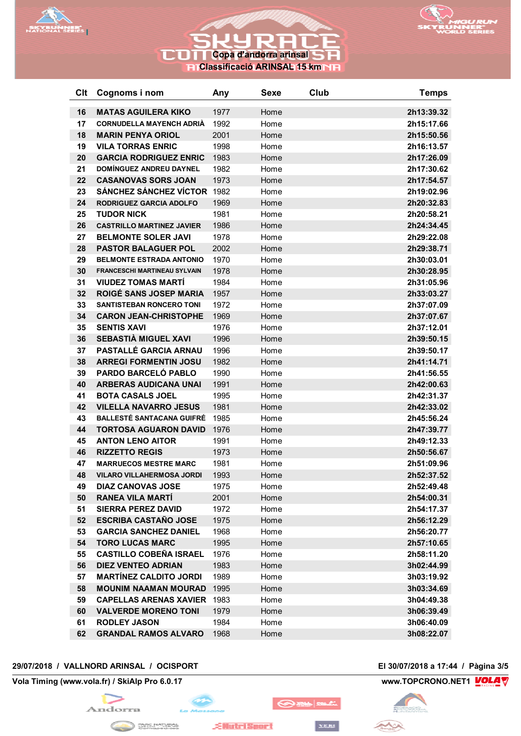

# **COI Copa d'andorra arinsal Classificació ARINSAL 15 km**



| Clt      | Cognoms i nom                                                 | Any          | <b>Sexe</b>  | Club | <b>Temps</b>             |
|----------|---------------------------------------------------------------|--------------|--------------|------|--------------------------|
|          |                                                               |              |              |      |                          |
| 16<br>17 | <b>MATAS AGUILERA KIKO</b><br><b>CORNUDELLA MAYENCH ADRIA</b> | 1977<br>1992 | Home<br>Home |      | 2h13:39.32<br>2h15:17.66 |
| 18       | <b>MARIN PENYA ORIOL</b>                                      | 2001         | Home         |      | 2h15:50.56               |
| 19       | <b>VILA TORRAS ENRIC</b>                                      | 1998         |              |      | 2h16:13.57               |
| 20       | <b>GARCIA RODRIGUEZ ENRIC</b>                                 | 1983         | Home<br>Home |      | 2h17:26.09               |
| 21       | DOMÍNGUEZ ANDREU DAYNEL                                       | 1982         | Home         |      | 2h17:30.62               |
| 22       | <b>CASANOVAS SORS JOAN</b>                                    | 1973         | Home         |      | 2h17:54.57               |
| 23       | <b>SÁNCHEZ SÁNCHEZ VÍCTOR</b>                                 | 1982         | Home         |      | 2h19:02.96               |
| 24       | <b>RODRIGUEZ GARCIA ADOLFO</b>                                | 1969         | Home         |      | 2h20:32.83               |
| 25       | <b>TUDOR NICK</b>                                             | 1981         | Home         |      | 2h20:58.21               |
| 26       | <b>CASTRILLO MARTINEZ JAVIER</b>                              | 1986         | Home         |      | 2h24:34.45               |
| 27       | <b>BELMONTE SOLER JAVI</b>                                    | 1978         | Home         |      | 2h29:22.08               |
| 28       | <b>PASTOR BALAGUER POL</b>                                    | 2002         | Home         |      | 2h29:38.71               |
| 29       | <b>BELMONTE ESTRADA ANTONIO</b>                               | 1970         | Home         |      | 2h30:03.01               |
| 30       | <b>FRANCESCHI MARTINEAU SYLVAIN</b>                           | 1978         | Home         |      | 2h30:28.95               |
| 31       | <b>VIUDEZ TOMAS MARTÍ</b>                                     | 1984         | Home         |      | 2h31:05.96               |
| 32       | <b>ROIGÉ SANS JOSEP MARIA</b>                                 | 1957         | Home         |      | 2h33:03.27               |
| 33       | <b>SANTISTEBAN RONCERO TONI</b>                               | 1972         | Home         |      | 2h37:07.09               |
| 34       | <b>CARON JEAN-CHRISTOPHE</b>                                  | 1969         | Home         |      | 2h37:07.67               |
| 35       | <b>SENTIS XAVI</b>                                            | 1976         | Home         |      | 2h37:12.01               |
| 36       | SEBASTIA MIGUEL XAVI                                          | 1996         | Home         |      | 2h39:50.15               |
| 37       | PASTALLÉ GARCIA ARNAU                                         | 1996         | Home         |      | 2h39:50.17               |
| 38       | <b>ARREGI FORMENTIN JOSU</b>                                  | 1982         | Home         |      | 2h41:14.71               |
| 39       | PARDO BARCELÓ PABLO                                           | 1990         | Home         |      | 2h41:56.55               |
| 40       | <b>ARBERAS AUDICANA UNAI</b>                                  | 1991         | Home         |      | 2h42:00.63               |
| 41       | <b>BOTA CASALS JOEL</b>                                       | 1995         | Home         |      | 2h42:31.37               |
| 42       | <b>VILELLA NAVARRO JESUS</b>                                  | 1981         | Home         |      | 2h42:33.02               |
| 43       | <b>BALLESTÉ SANTACANA GUIFRÉ</b>                              | 1985         | Home         |      | 2h45:56.24               |
| 44       | <b>TORTOSA AGUARON DAVID</b>                                  | 1976         | Home         |      | 2h47:39.77               |
| 45       | <b>ANTON LENO AITOR</b>                                       | 1991         | Home         |      | 2h49:12.33               |
| 46       | <b>RIZZETTO REGIS</b>                                         | 1973         | Home         |      | 2h50:56.67               |
| 47       | <b>MARRUECOS MESTRE MARC</b>                                  | 1981         | Home         |      | 2h51:09.96               |
| 48       | <b>VILARO VILLAHERMOSA JORDI</b>                              | 1993         | Home         |      | 2h52:37.52               |
| 49       | <b>DIAZ CANOVAS JOSE</b>                                      | 1975         | Home         |      | 2h52:49.48               |
| 50       | <b>RANEA VILA MARTÍ</b>                                       | 2001         | Home         |      | 2h54:00.31               |
| 51       | <b>SIERRA PEREZ DAVID</b>                                     | 1972         | Home         |      | 2h54:17.37               |
| 52       | <b>ESCRIBA CASTAÑO JOSE</b>                                   | 1975         | Home         |      | 2h56:12.29               |
| 53       | <b>GARCIA SANCHEZ DANIEL</b>                                  | 1968         | Home         |      | 2h56:20.77               |
| 54       | <b>TORO LUCAS MARC</b>                                        | 1995         | Home         |      | 2h57:10.65               |
| 55       | <b>CASTILLO COBEÑA ISRAEL</b>                                 | 1976         | Home         |      | 2h58:11.20               |
| 56       | <b>DIEZ VENTEO ADRIAN</b>                                     | 1983         | Home         |      | 3h02:44.99               |
| 57       | <b>MARTINEZ CALDITO JORDI</b>                                 | 1989         | Home         |      | 3h03:19.92               |
| 58       | <b>MOUNIM NAAMAN MOURAD</b>                                   | 1995         | Home         |      | 3h03:34.69               |
| 59       | <b>CAPELLAS ARENAS XAVIER</b>                                 | 1983         | Home         |      | 3h04:49.38               |
| 60       | <b>VALVERDE MORENO TONI</b>                                   | 1979         | Home         |      | 3h06:39.49               |
| 61       | <b>RODLEY JASON</b>                                           | 1984         | Home         |      | 3h06:40.09               |
| 62       | <b>GRANDAL RAMOS ALVARO</b>                                   | 1968         | Home         |      | 3h08:22.07               |

#### **29/07/2018 / VALLNORD ARINSAL / OCISPORT El 30/07/2018 a 17:44 / Pàgina 3/5**

**Vola Timing (www.vola.fr) / SkiAlp Pro 6.0.17 www.TOPCRONO.NET1 WOLA** 





YERI

**OBB** 

**EllutriSport**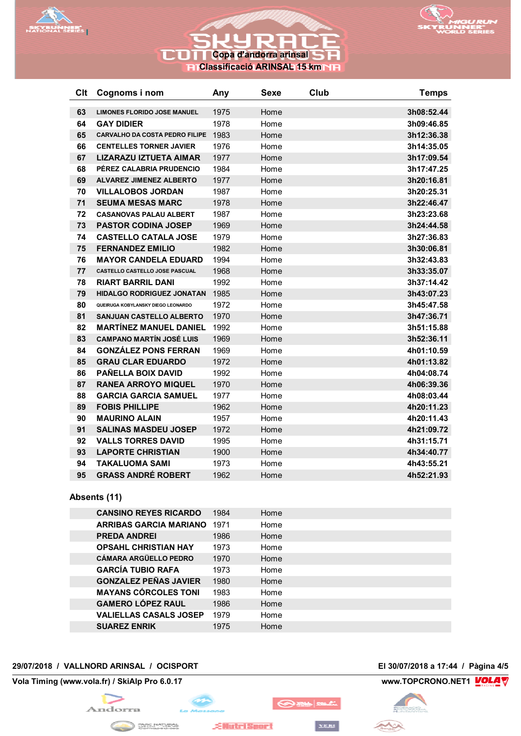

## **COTT Copa d'andorra arinsal** 5 F **Classificació ARINSAL 15 km**



| Clt | Cognoms i nom                         | Any  | <b>Sexe</b> | Club | <b>Temps</b> |
|-----|---------------------------------------|------|-------------|------|--------------|
| 63  | <b>LIMONES FLORIDO JOSE MANUEL</b>    | 1975 | Home        |      | 3h08:52.44   |
| 64  | <b>GAY DIDIER</b>                     | 1978 | Home        |      | 3h09:46.85   |
| 65  | <b>CARVALHO DA COSTA PEDRO FILIPE</b> | 1983 | Home        |      | 3h12:36.38   |
| 66  | <b>CENTELLES TORNER JAVIER</b>        | 1976 | Home        |      | 3h14:35.05   |
| 67  | <b>LIZARAZU IZTUETA AIMAR</b>         | 1977 | Home        |      | 3h17:09.54   |
| 68  | PÉREZ CALABRIA PRUDENCIO              | 1984 | Home        |      | 3h17:47.25   |
| 69  | <b>ALVAREZ JIMENEZ ALBERTO</b>        | 1977 | Home        |      | 3h20:16.81   |
| 70  | <b>VILLALOBOS JORDAN</b>              | 1987 | Home        |      | 3h20:25.31   |
| 71  | <b>SEUMA MESAS MARC</b>               | 1978 | Home        |      | 3h22:46.47   |
| 72  | <b>CASANOVAS PALAU ALBERT</b>         | 1987 | Home        |      | 3h23:23.68   |
| 73  | <b>PASTOR CODINA JOSEP</b>            | 1969 | Home        |      | 3h24:44.58   |
| 74  | <b>CASTELLO CATALA JOSE</b>           | 1979 | Home        |      | 3h27:36.83   |
| 75  | <b>FERNANDEZ EMILIO</b>               | 1982 | Home        |      | 3h30:06.81   |
| 76  | <b>MAYOR CANDELA EDUARD</b>           | 1994 | Home        |      | 3h32:43.83   |
| 77  | CASTELLO CASTELLO JOSE PASCUAL        | 1968 | Home        |      | 3h33:35.07   |
| 78  | <b>RIART BARRIL DANI</b>              | 1992 | Home        |      | 3h37:14.42   |
| 79  | <b>HIDALGO RODRIGUEZ JONATAN</b>      | 1985 | Home        |      | 3h43:07.23   |
| 80  | QUEIRUGA KOBYLANSKY DIEGO LEONARDO    | 1972 | Home        |      | 3h45:47.58   |
| 81  | <b>SANJUAN CASTELLO ALBERTO</b>       | 1970 | Home        |      | 3h47:36.71   |
| 82  | <b>MARTÍNEZ MANUEL DANIEL</b>         | 1992 | Home        |      | 3h51:15.88   |
| 83  | <b>CAMPANO MARTÍN JOSÉ LUIS</b>       | 1969 | Home        |      | 3h52:36.11   |
| 84  | <b>GONZÁLEZ PONS FERRAN</b>           | 1969 | Home        |      | 4h01:10.59   |
| 85  | <b>GRAU CLAR EDUARDO</b>              | 1972 | Home        |      | 4h01:13.82   |
| 86  | PAÑELLA BOIX DAVID                    | 1992 | Home        |      | 4h04:08.74   |
| 87  | <b>RANEA ARROYO MIQUEL</b>            | 1970 | Home        |      | 4h06:39.36   |
| 88  | <b>GARCIA GARCIA SAMUEL</b>           | 1977 | Home        |      | 4h08:03.44   |
| 89  | <b>FOBIS PHILLIPE</b>                 | 1962 | Home        |      | 4h20:11.23   |
| 90  | <b>MAURINO ALAIN</b>                  | 1957 | Home        |      | 4h20:11.43   |
| 91  | <b>SALINAS MASDEU JOSEP</b>           | 1972 | Home        |      | 4h21:09.72   |
| 92  | <b>VALLS TORRES DAVID</b>             | 1995 | Home        |      | 4h31:15.71   |
| 93  | <b>LAPORTE CHRISTIAN</b>              | 1900 | Home        |      | 4h34:40.77   |
| 94  | <b>TAKALUOMA SAMI</b>                 | 1973 | Home        |      | 4h43:55.21   |
| 95  | <b>GRASS ANDRÉ ROBERT</b>             | 1962 | Home        |      | 4h52:21.93   |

#### **Absents (11)**

| <b>CANSINO REYES RICARDO</b>  | 1984 | Home |
|-------------------------------|------|------|
| ARRIBAS GARCIA MARIANO        | 1971 | Home |
| <b>PREDA ANDREI</b>           | 1986 | Home |
| <b>OPSAHL CHRISTIAN HAY</b>   | 1973 | Home |
| <b>CÁMARA ARGÜELLO PEDRO</b>  | 1970 | Home |
| <b>GARCÍA TUBIO RAFA</b>      | 1973 | Home |
| <b>GONZALEZ PEÑAS JAVIER</b>  | 1980 | Home |
| <b>MAYANS CÓRCOLES TONI</b>   | 1983 | Home |
| <b>GAMERO LÓPEZ RAUL</b>      | 1986 | Home |
| <b>VALIELLAS CASALS JOSEP</b> | 1979 | Home |
| <b>SUAREZ ENRIK</b>           | 1975 | Home |

**EllutriSport** 

#### **29/07/2018 / VALLNORD ARINSAL / OCISPORT El 30/07/2018 a 17:44 / Pàgina 4/5**

**Vola Timing (www.vola.fr) / SkiAlp Pro 6.0.17 www.TOPCRONO.NET1 WOLA** 





**OBB** 

YERI